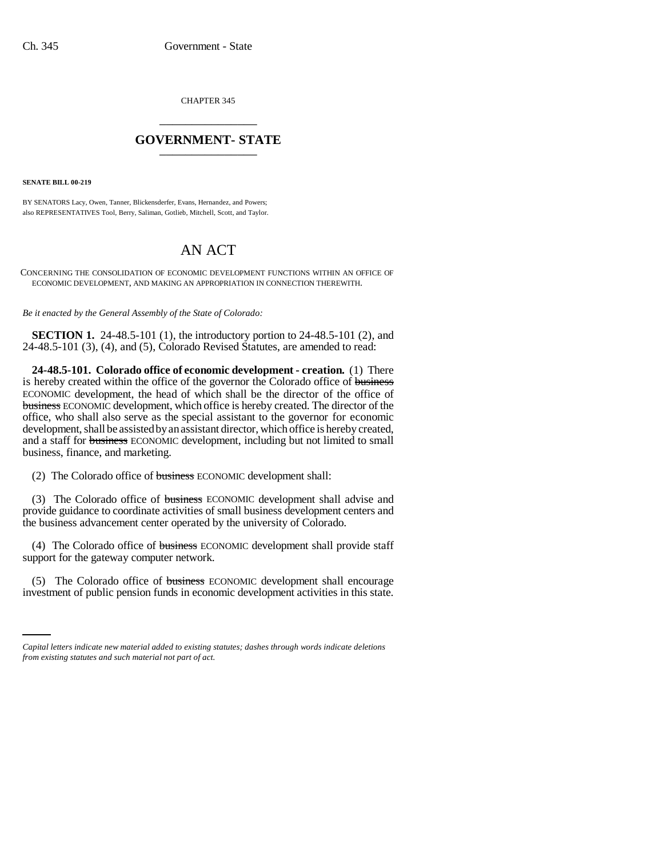CHAPTER 345 \_\_\_\_\_\_\_\_\_\_\_\_\_\_\_

## **GOVERNMENT- STATE** \_\_\_\_\_\_\_\_\_\_\_\_\_\_\_

**SENATE BILL 00-219** 

BY SENATORS Lacy, Owen, Tanner, Blickensderfer, Evans, Hernandez, and Powers; also REPRESENTATIVES Tool, Berry, Saliman, Gotlieb, Mitchell, Scott, and Taylor.

# AN ACT

CONCERNING THE CONSOLIDATION OF ECONOMIC DEVELOPMENT FUNCTIONS WITHIN AN OFFICE OF ECONOMIC DEVELOPMENT, AND MAKING AN APPROPRIATION IN CONNECTION THEREWITH.

*Be it enacted by the General Assembly of the State of Colorado:*

**SECTION 1.** 24-48.5-101 (1), the introductory portion to 24-48.5-101 (2), and 24-48.5-101 (3), (4), and (5), Colorado Revised Statutes, are amended to read:

**24-48.5-101. Colorado office of economic development - creation.** (1) There is hereby created within the office of the governor the Colorado office of business ECONOMIC development, the head of which shall be the director of the office of business ECONOMIC development, which office is hereby created. The director of the office, who shall also serve as the special assistant to the governor for economic development, shall be assisted by an assistant director, which office is hereby created, and a staff for business ECONOMIC development, including but not limited to small business, finance, and marketing.

(2) The Colorado office of business ECONOMIC development shall:

(3) The Colorado office of business ECONOMIC development shall advise and provide guidance to coordinate activities of small business development centers and the business advancement center operated by the university of Colorado.

(4) The Colorado office of business ECONOMIC development shall provide staff support for the gateway computer network.

(5) The Colorado office of business ECONOMIC development shall encourage investment of public pension funds in economic development activities in this state.

*Capital letters indicate new material added to existing statutes; dashes through words indicate deletions from existing statutes and such material not part of act.*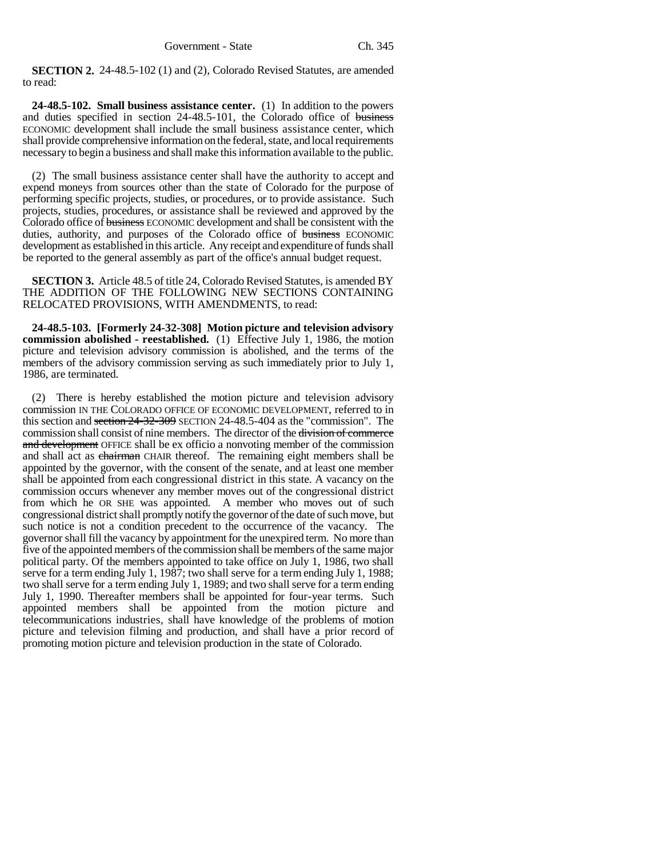**SECTION 2.** 24-48.5-102 (1) and (2), Colorado Revised Statutes, are amended to read:

**24-48.5-102. Small business assistance center.** (1) In addition to the powers and duties specified in section 24-48.5-101, the Colorado office of business ECONOMIC development shall include the small business assistance center, which shall provide comprehensive information on the federal, state, and local requirements necessary to begin a business and shall make this information available to the public.

(2) The small business assistance center shall have the authority to accept and expend moneys from sources other than the state of Colorado for the purpose of performing specific projects, studies, or procedures, or to provide assistance. Such projects, studies, procedures, or assistance shall be reviewed and approved by the Colorado office of business ECONOMIC development and shall be consistent with the duties, authority, and purposes of the Colorado office of business ECONOMIC development as established in this article. Any receipt and expenditure of funds shall be reported to the general assembly as part of the office's annual budget request.

**SECTION 3.** Article 48.5 of title 24, Colorado Revised Statutes, is amended BY THE ADDITION OF THE FOLLOWING NEW SECTIONS CONTAINING RELOCATED PROVISIONS, WITH AMENDMENTS, to read:

**24-48.5-103. [Formerly 24-32-308] Motion picture and television advisory commission abolished - reestablished.** (1) Effective July 1, 1986, the motion picture and television advisory commission is abolished, and the terms of the members of the advisory commission serving as such immediately prior to July 1, 1986, are terminated.

(2) There is hereby established the motion picture and television advisory commission IN THE COLORADO OFFICE OF ECONOMIC DEVELOPMENT, referred to in this section and section 24-32-309 SECTION 24-48.5-404 as the "commission". The commission shall consist of nine members. The director of the division of commerce and development OFFICE shall be ex officio a nonvoting member of the commission and shall act as chairman CHAIR thereof. The remaining eight members shall be appointed by the governor, with the consent of the senate, and at least one member shall be appointed from each congressional district in this state. A vacancy on the commission occurs whenever any member moves out of the congressional district from which he OR SHE was appointed. A member who moves out of such congressional district shall promptly notify the governor of the date of such move, but such notice is not a condition precedent to the occurrence of the vacancy. The governor shall fill the vacancy by appointment for the unexpired term. No more than five of the appointed members of the commission shall be members of the same major political party. Of the members appointed to take office on July 1, 1986, two shall serve for a term ending July 1, 1987; two shall serve for a term ending July 1, 1988; two shall serve for a term ending July 1, 1989; and two shall serve for a term ending July 1, 1990. Thereafter members shall be appointed for four-year terms. Such appointed members shall be appointed from the motion picture and telecommunications industries, shall have knowledge of the problems of motion picture and television filming and production, and shall have a prior record of promoting motion picture and television production in the state of Colorado.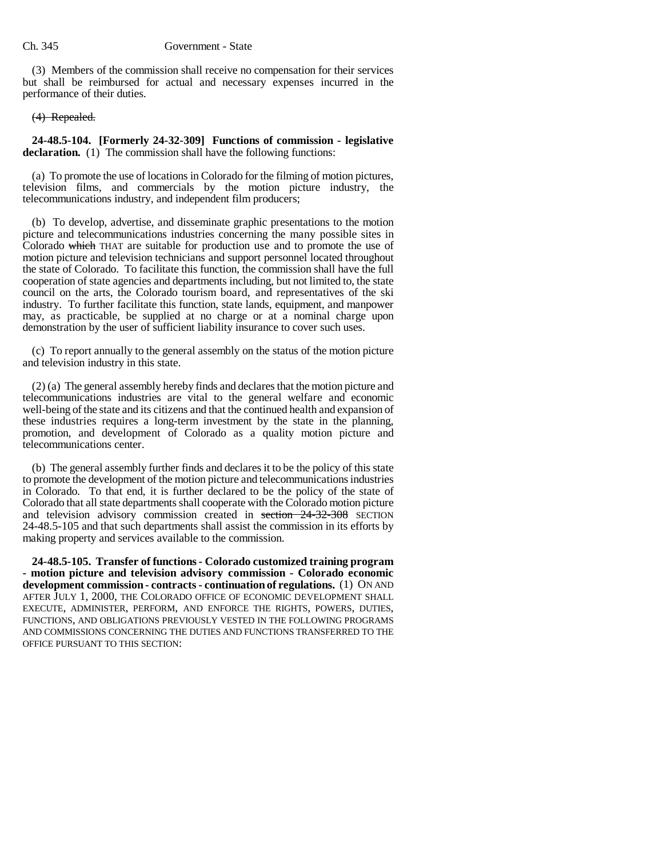#### Ch. 345 Government - State

(3) Members of the commission shall receive no compensation for their services but shall be reimbursed for actual and necessary expenses incurred in the performance of their duties.

### (4) Repealed.

**24-48.5-104. [Formerly 24-32-309] Functions of commission - legislative declaration.** (1) The commission shall have the following functions:

(a) To promote the use of locations in Colorado for the filming of motion pictures, television films, and commercials by the motion picture industry, the telecommunications industry, and independent film producers;

(b) To develop, advertise, and disseminate graphic presentations to the motion picture and telecommunications industries concerning the many possible sites in Colorado which THAT are suitable for production use and to promote the use of motion picture and television technicians and support personnel located throughout the state of Colorado. To facilitate this function, the commission shall have the full cooperation of state agencies and departments including, but not limited to, the state council on the arts, the Colorado tourism board, and representatives of the ski industry. To further facilitate this function, state lands, equipment, and manpower may, as practicable, be supplied at no charge or at a nominal charge upon demonstration by the user of sufficient liability insurance to cover such uses.

(c) To report annually to the general assembly on the status of the motion picture and television industry in this state.

(2) (a) The general assembly hereby finds and declares that the motion picture and telecommunications industries are vital to the general welfare and economic well-being of the state and its citizens and that the continued health and expansion of these industries requires a long-term investment by the state in the planning, promotion, and development of Colorado as a quality motion picture and telecommunications center.

(b) The general assembly further finds and declares it to be the policy of this state to promote the development of the motion picture and telecommunications industries in Colorado. To that end, it is further declared to be the policy of the state of Colorado that all state departments shall cooperate with the Colorado motion picture and television advisory commission created in section 24-32-308 SECTION 24-48.5-105 and that such departments shall assist the commission in its efforts by making property and services available to the commission.

**24-48.5-105. Transfer of functions - Colorado customized training program - motion picture and television advisory commission - Colorado economic development commission - contracts - continuation of regulations.** (1) ON AND AFTER JULY 1, 2000, THE COLORADO OFFICE OF ECONOMIC DEVELOPMENT SHALL EXECUTE, ADMINISTER, PERFORM, AND ENFORCE THE RIGHTS, POWERS, DUTIES, FUNCTIONS, AND OBLIGATIONS PREVIOUSLY VESTED IN THE FOLLOWING PROGRAMS AND COMMISSIONS CONCERNING THE DUTIES AND FUNCTIONS TRANSFERRED TO THE OFFICE PURSUANT TO THIS SECTION: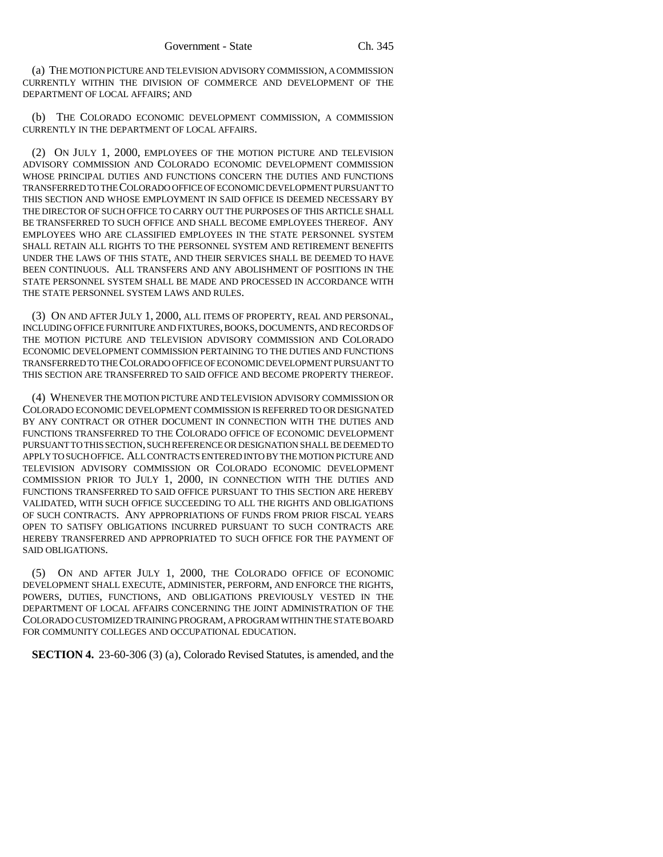(a) THE MOTION PICTURE AND TELEVISION ADVISORY COMMISSION, A COMMISSION CURRENTLY WITHIN THE DIVISION OF COMMERCE AND DEVELOPMENT OF THE DEPARTMENT OF LOCAL AFFAIRS; AND

(b) THE COLORADO ECONOMIC DEVELOPMENT COMMISSION, A COMMISSION CURRENTLY IN THE DEPARTMENT OF LOCAL AFFAIRS.

(2) ON JULY 1, 2000, EMPLOYEES OF THE MOTION PICTURE AND TELEVISION ADVISORY COMMISSION AND COLORADO ECONOMIC DEVELOPMENT COMMISSION WHOSE PRINCIPAL DUTIES AND FUNCTIONS CONCERN THE DUTIES AND FUNCTIONS TRANSFERRED TO THE COLORADO OFFICE OF ECONOMIC DEVELOPMENT PURSUANT TO THIS SECTION AND WHOSE EMPLOYMENT IN SAID OFFICE IS DEEMED NECESSARY BY THE DIRECTOR OF SUCH OFFICE TO CARRY OUT THE PURPOSES OF THIS ARTICLE SHALL BE TRANSFERRED TO SUCH OFFICE AND SHALL BECOME EMPLOYEES THEREOF. ANY EMPLOYEES WHO ARE CLASSIFIED EMPLOYEES IN THE STATE PERSONNEL SYSTEM SHALL RETAIN ALL RIGHTS TO THE PERSONNEL SYSTEM AND RETIREMENT BENEFITS UNDER THE LAWS OF THIS STATE, AND THEIR SERVICES SHALL BE DEEMED TO HAVE BEEN CONTINUOUS. ALL TRANSFERS AND ANY ABOLISHMENT OF POSITIONS IN THE STATE PERSONNEL SYSTEM SHALL BE MADE AND PROCESSED IN ACCORDANCE WITH THE STATE PERSONNEL SYSTEM LAWS AND RULES.

(3) ON AND AFTER JULY 1, 2000, ALL ITEMS OF PROPERTY, REAL AND PERSONAL, INCLUDING OFFICE FURNITURE AND FIXTURES, BOOKS, DOCUMENTS, AND RECORDS OF THE MOTION PICTURE AND TELEVISION ADVISORY COMMISSION AND COLORADO ECONOMIC DEVELOPMENT COMMISSION PERTAINING TO THE DUTIES AND FUNCTIONS TRANSFERRED TO THE COLORADO OFFICE OF ECONOMIC DEVELOPMENT PURSUANT TO THIS SECTION ARE TRANSFERRED TO SAID OFFICE AND BECOME PROPERTY THEREOF.

(4) WHENEVER THE MOTION PICTURE AND TELEVISION ADVISORY COMMISSION OR COLORADO ECONOMIC DEVELOPMENT COMMISSION IS REFERRED TO OR DESIGNATED BY ANY CONTRACT OR OTHER DOCUMENT IN CONNECTION WITH THE DUTIES AND FUNCTIONS TRANSFERRED TO THE COLORADO OFFICE OF ECONOMIC DEVELOPMENT PURSUANT TO THIS SECTION, SUCH REFERENCE OR DESIGNATION SHALL BE DEEMED TO APPLY TO SUCH OFFICE. ALL CONTRACTS ENTERED INTO BY THE MOTION PICTURE AND TELEVISION ADVISORY COMMISSION OR COLORADO ECONOMIC DEVELOPMENT COMMISSION PRIOR TO JULY 1, 2000, IN CONNECTION WITH THE DUTIES AND FUNCTIONS TRANSFERRED TO SAID OFFICE PURSUANT TO THIS SECTION ARE HEREBY VALIDATED, WITH SUCH OFFICE SUCCEEDING TO ALL THE RIGHTS AND OBLIGATIONS OF SUCH CONTRACTS. ANY APPROPRIATIONS OF FUNDS FROM PRIOR FISCAL YEARS OPEN TO SATISFY OBLIGATIONS INCURRED PURSUANT TO SUCH CONTRACTS ARE HEREBY TRANSFERRED AND APPROPRIATED TO SUCH OFFICE FOR THE PAYMENT OF SAID OBLIGATIONS.

ON AND AFTER JULY 1, 2000, THE COLORADO OFFICE OF ECONOMIC DEVELOPMENT SHALL EXECUTE, ADMINISTER, PERFORM, AND ENFORCE THE RIGHTS, POWERS, DUTIES, FUNCTIONS, AND OBLIGATIONS PREVIOUSLY VESTED IN THE DEPARTMENT OF LOCAL AFFAIRS CONCERNING THE JOINT ADMINISTRATION OF THE COLORADO CUSTOMIZED TRAINING PROGRAM, A PROGRAM WITHIN THE STATE BOARD FOR COMMUNITY COLLEGES AND OCCUPATIONAL EDUCATION.

**SECTION 4.** 23-60-306 (3) (a), Colorado Revised Statutes, is amended, and the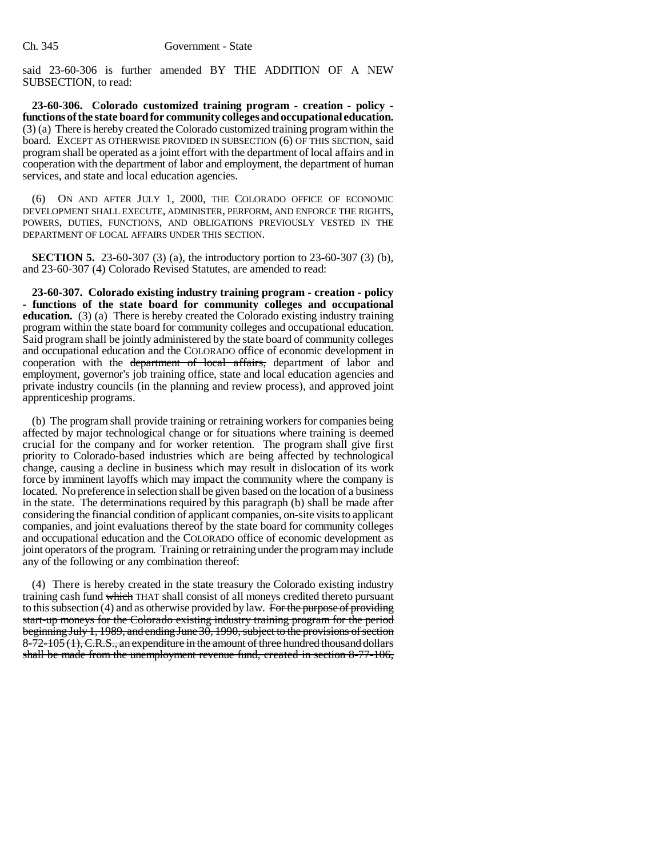said 23-60-306 is further amended BY THE ADDITION OF A NEW SUBSECTION, to read:

**23-60-306. Colorado customized training program - creation - policy functions of the state board for community colleges and occupational education.** (3) (a) There is hereby created the Colorado customized training program within the board. EXCEPT AS OTHERWISE PROVIDED IN SUBSECTION (6) OF THIS SECTION, said program shall be operated as a joint effort with the department of local affairs and in cooperation with the department of labor and employment, the department of human services, and state and local education agencies.

(6) ON AND AFTER JULY 1, 2000, THE COLORADO OFFICE OF ECONOMIC DEVELOPMENT SHALL EXECUTE, ADMINISTER, PERFORM, AND ENFORCE THE RIGHTS, POWERS, DUTIES, FUNCTIONS, AND OBLIGATIONS PREVIOUSLY VESTED IN THE DEPARTMENT OF LOCAL AFFAIRS UNDER THIS SECTION.

**SECTION 5.** 23-60-307 (3) (a), the introductory portion to 23-60-307 (3) (b), and 23-60-307 (4) Colorado Revised Statutes, are amended to read:

**23-60-307. Colorado existing industry training program - creation - policy - functions of the state board for community colleges and occupational education.** (3) (a) There is hereby created the Colorado existing industry training program within the state board for community colleges and occupational education. Said program shall be jointly administered by the state board of community colleges and occupational education and the COLORADO office of economic development in cooperation with the department of local affairs, department of labor and employment, governor's job training office, state and local education agencies and private industry councils (in the planning and review process), and approved joint apprenticeship programs.

(b) The program shall provide training or retraining workers for companies being affected by major technological change or for situations where training is deemed crucial for the company and for worker retention. The program shall give first priority to Colorado-based industries which are being affected by technological change, causing a decline in business which may result in dislocation of its work force by imminent layoffs which may impact the community where the company is located. No preference in selection shall be given based on the location of a business in the state. The determinations required by this paragraph (b) shall be made after considering the financial condition of applicant companies, on-site visits to applicant companies, and joint evaluations thereof by the state board for community colleges and occupational education and the COLORADO office of economic development as joint operators of the program. Training or retraining under the program may include any of the following or any combination thereof:

(4) There is hereby created in the state treasury the Colorado existing industry training cash fund which THAT shall consist of all moneys credited thereto pursuant to this subsection  $(4)$  and as otherwise provided by law. For the purpose of providing start-up moneys for the Colorado existing industry training program for the period beginning July 1, 1989, and ending June 30, 1990, subject to the provisions of section  $8-72-105(1)$ , C.R.S., an expenditure in the amount of three hundred thousand dollars shall be made from the unemployment revenue fund, created in section 8-77-106,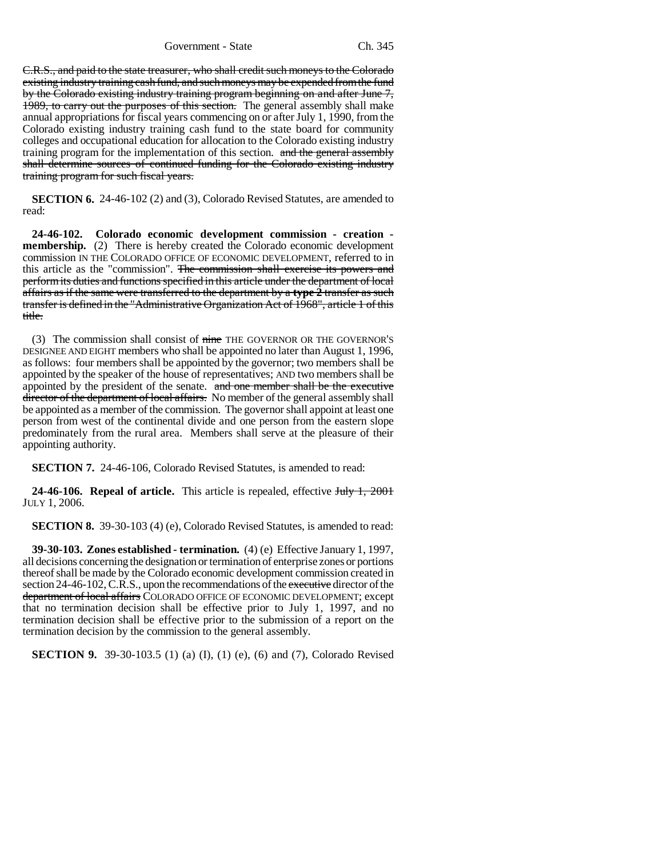Government - State Ch. 345

C.R.S., and paid to the state treasurer, who shall credit such moneys to the Colorado existing industry training cash fund, and such moneys may be expended from the fund by the Colorado existing industry training program beginning on and after June 7, 1989, to carry out the purposes of this section. The general assembly shall make annual appropriations for fiscal years commencing on or after July 1, 1990, from the Colorado existing industry training cash fund to the state board for community colleges and occupational education for allocation to the Colorado existing industry training program for the implementation of this section. and the general assembly shall determine sources of continued funding for the Colorado existing industry training program for such fiscal years.

**SECTION 6.** 24-46-102 (2) and (3), Colorado Revised Statutes, are amended to read:

**24-46-102. Colorado economic development commission - creation membership.** (2) There is hereby created the Colorado economic development commission IN THE COLORADO OFFICE OF ECONOMIC DEVELOPMENT, referred to in this article as the "commission". The commission shall exercise its powers and perform its duties and functions specified in this article under the department of local affairs as if the same were transferred to the department by a **type 2** transfer as such transfer is defined in the "Administrative Organization Act of 1968", article 1 of this title.

(3) The commission shall consist of nine THE GOVERNOR OR THE GOVERNOR'S DESIGNEE AND EIGHT members who shall be appointed no later than August 1, 1996, as follows: four members shall be appointed by the governor; two members shall be appointed by the speaker of the house of representatives; AND two members shall be appointed by the president of the senate. and one member shall be the executive director of the department of local affairs. No member of the general assembly shall be appointed as a member of the commission. The governor shall appoint at least one person from west of the continental divide and one person from the eastern slope predominately from the rural area. Members shall serve at the pleasure of their appointing authority.

**SECTION 7.** 24-46-106, Colorado Revised Statutes, is amended to read:

**24-46-106. Repeal of article.** This article is repealed, effective July 1, 2001 JULY 1, 2006.

**SECTION 8.** 39-30-103 (4) (e), Colorado Revised Statutes, is amended to read:

**39-30-103. Zones established - termination.** (4) (e) Effective January 1, 1997, all decisions concerning the designation or termination of enterprise zones or portions thereof shall be made by the Colorado economic development commission created in section 24-46-102, C.R.S., upon the recommendations of the executive director of the department of local affairs COLORADO OFFICE OF ECONOMIC DEVELOPMENT; except that no termination decision shall be effective prior to July 1, 1997, and no termination decision shall be effective prior to the submission of a report on the termination decision by the commission to the general assembly.

**SECTION 9.** 39-30-103.5 (1) (a) (I), (1) (e), (6) and (7), Colorado Revised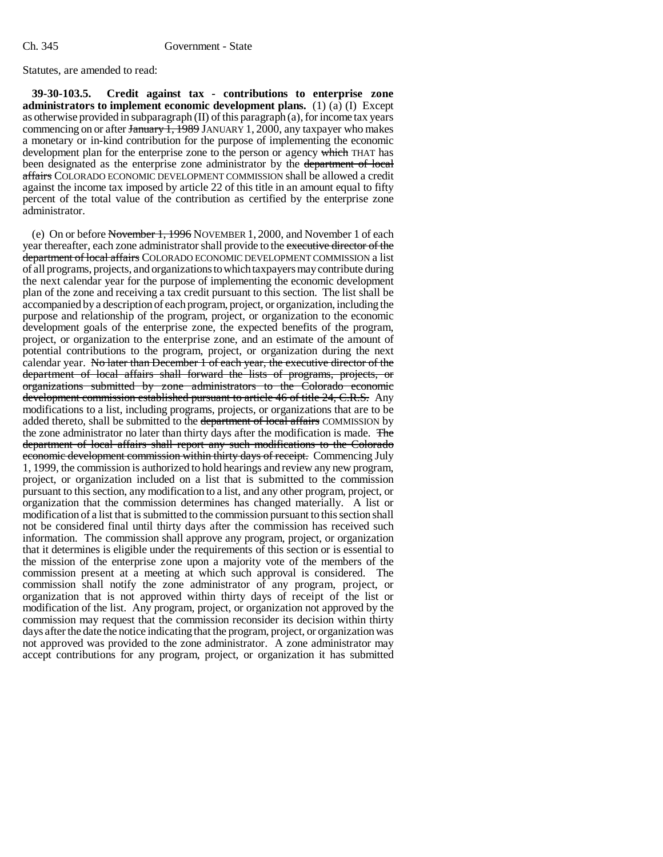Statutes, are amended to read:

**39-30-103.5. Credit against tax - contributions to enterprise zone administrators to implement economic development plans.** (1) (a) (I) Except as otherwise provided in subparagraph (II) of this paragraph (a), for income tax years commencing on or after January 1, 1989 JANUARY 1, 2000, any taxpayer who makes a monetary or in-kind contribution for the purpose of implementing the economic development plan for the enterprise zone to the person or agency which THAT has been designated as the enterprise zone administrator by the department of local affairs COLORADO ECONOMIC DEVELOPMENT COMMISSION shall be allowed a credit against the income tax imposed by article 22 of this title in an amount equal to fifty percent of the total value of the contribution as certified by the enterprise zone administrator.

(e) On or before November 1, 1996 NOVEMBER 1, 2000, and November 1 of each year thereafter, each zone administrator shall provide to the executive director of the department of local affairs COLORADO ECONOMIC DEVELOPMENT COMMISSION a list of all programs, projects, and organizations to which taxpayers may contribute during the next calendar year for the purpose of implementing the economic development plan of the zone and receiving a tax credit pursuant to this section. The list shall be accompanied by a description of each program, project, or organization, including the purpose and relationship of the program, project, or organization to the economic development goals of the enterprise zone, the expected benefits of the program, project, or organization to the enterprise zone, and an estimate of the amount of potential contributions to the program, project, or organization during the next calendar year. No later than December 1 of each year, the executive director of the department of local affairs shall forward the lists of programs, projects, or organizations submitted by zone administrators to the Colorado economic development commission established pursuant to article 46 of title 24, C.R.S. Any modifications to a list, including programs, projects, or organizations that are to be added thereto, shall be submitted to the department of local affairs COMMISSION by the zone administrator no later than thirty days after the modification is made. The department of local affairs shall report any such modifications to the Colorado economic development commission within thirty days of receipt. Commencing July 1, 1999, the commission is authorized to hold hearings and review any new program, project, or organization included on a list that is submitted to the commission pursuant to this section, any modification to a list, and any other program, project, or organization that the commission determines has changed materially. A list or modification of a list that is submitted to the commission pursuant to this section shall not be considered final until thirty days after the commission has received such information. The commission shall approve any program, project, or organization that it determines is eligible under the requirements of this section or is essential to the mission of the enterprise zone upon a majority vote of the members of the commission present at a meeting at which such approval is considered. The commission shall notify the zone administrator of any program, project, or organization that is not approved within thirty days of receipt of the list or modification of the list. Any program, project, or organization not approved by the commission may request that the commission reconsider its decision within thirty days after the date the notice indicating that the program, project, or organization was not approved was provided to the zone administrator. A zone administrator may accept contributions for any program, project, or organization it has submitted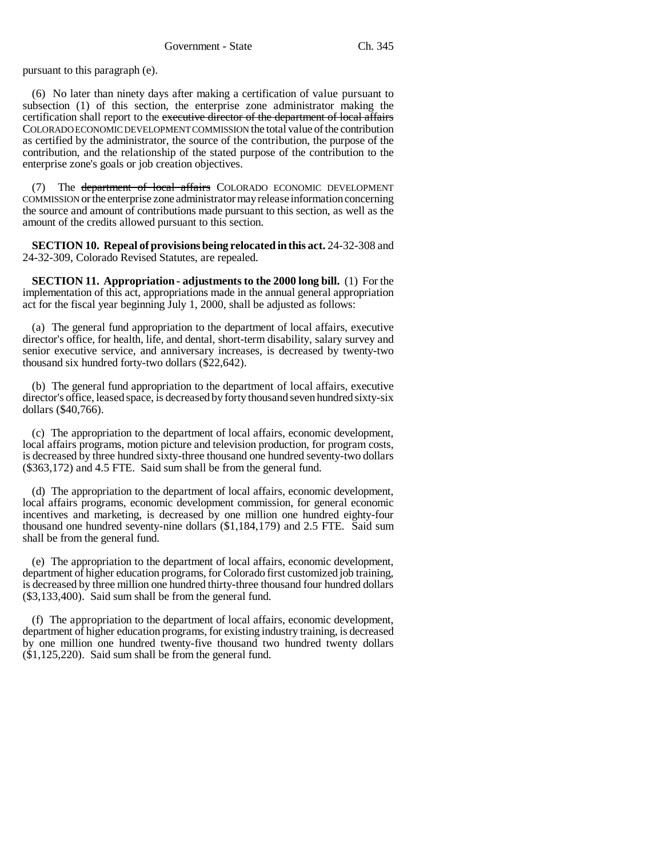pursuant to this paragraph (e).

(6) No later than ninety days after making a certification of value pursuant to subsection (1) of this section, the enterprise zone administrator making the certification shall report to the executive director of the department of local affairs COLORADO ECONOMIC DEVELOPMENT COMMISSION the total value of the contribution as certified by the administrator, the source of the contribution, the purpose of the contribution, and the relationship of the stated purpose of the contribution to the enterprise zone's goals or job creation objectives.

(7) The department of local affairs COLORADO ECONOMIC DEVELOPMENT COMMISSION or the enterprise zone administrator may release information concerning the source and amount of contributions made pursuant to this section, as well as the amount of the credits allowed pursuant to this section.

**SECTION 10. Repeal of provisions being relocated in this act.** 24-32-308 and 24-32-309, Colorado Revised Statutes, are repealed.

**SECTION 11. Appropriation - adjustments to the 2000 long bill.** (1) For the implementation of this act, appropriations made in the annual general appropriation act for the fiscal year beginning July 1, 2000, shall be adjusted as follows:

(a) The general fund appropriation to the department of local affairs, executive director's office, for health, life, and dental, short-term disability, salary survey and senior executive service, and anniversary increases, is decreased by twenty-two thousand six hundred forty-two dollars (\$22,642).

(b) The general fund appropriation to the department of local affairs, executive director's office, leased space, is decreased by forty thousand seven hundred sixty-six dollars (\$40,766).

(c) The appropriation to the department of local affairs, economic development, local affairs programs, motion picture and television production, for program costs, is decreased by three hundred sixty-three thousand one hundred seventy-two dollars (\$363,172) and 4.5 FTE. Said sum shall be from the general fund.

(d) The appropriation to the department of local affairs, economic development, local affairs programs, economic development commission, for general economic incentives and marketing, is decreased by one million one hundred eighty-four thousand one hundred seventy-nine dollars (\$1,184,179) and 2.5 FTE. Said sum shall be from the general fund.

(e) The appropriation to the department of local affairs, economic development, department of higher education programs, for Colorado first customized job training, is decreased by three million one hundred thirty-three thousand four hundred dollars (\$3,133,400). Said sum shall be from the general fund.

(f) The appropriation to the department of local affairs, economic development, department of higher education programs, for existing industry training, is decreased by one million one hundred twenty-five thousand two hundred twenty dollars (\$1,125,220). Said sum shall be from the general fund.